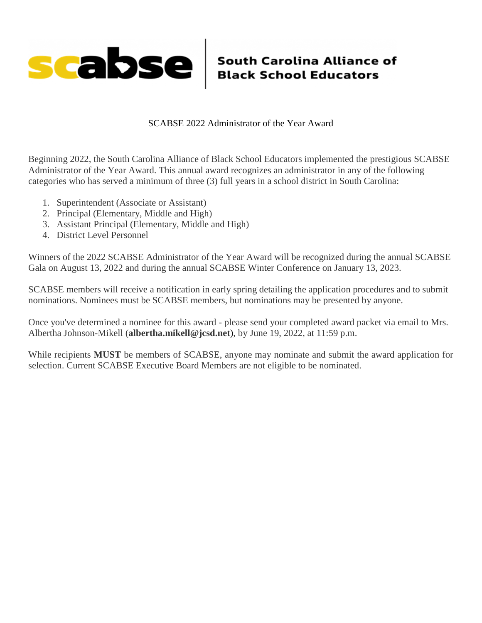

SCABSE 2022 Administrator of the Year Award

Beginning 2022, the South Carolina Alliance of Black School Educators implemented the prestigious SCABSE Administrator of the Year Award. This annual award recognizes an administrator in any of the following categories who has served a minimum of three (3) full years in a school district in South Carolina:

- 1. Superintendent (Associate or Assistant)
- 2. Principal (Elementary, Middle and High)
- 3. Assistant Principal (Elementary, Middle and High)
- 4. District Level Personnel

Winners of the 2022 SCABSE Administrator of the Year Award will be recognized during the annual SCABSE Gala on August 13, 2022 and during the annual SCABSE Winter Conference on January 13, 2023.

SCABSE members will receive a notification in early spring detailing the application procedures and to submit nominations. Nominees must be SCABSE members, but nominations may be presented by anyone.

Once you've determined a nominee for this award - please send your completed award packet via email to Mrs. Albertha Johnson-Mikell (**albertha.mikell@jcsd.net**), by June 19, 2022, at 11:59 p.m.

While recipients **MUST** be members of SCABSE, anyone may nominate and submit the award application for selection. Current SCABSE Executive Board Members are not eligible to be nominated.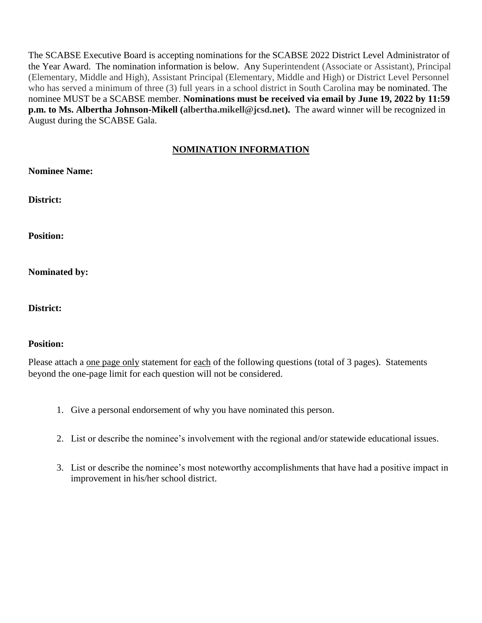The SCABSE Executive Board is accepting nominations for the SCABSE 2022 District Level Administrator of the Year Award. The nomination information is below. Any Superintendent (Associate or Assistant), Principal (Elementary, Middle and High), Assistant Principal (Elementary, Middle and High) or District Level Personnel who has served a minimum of three (3) full years in a school district in South Carolina may be nominated. The nominee MUST be a SCABSE member. **Nominations must be received via email by June 19, 2022 by 11:59 p.m. to Ms. Albertha Johnson-Mikell (albertha.mikell@jcsd.net).** The award winner will be recognized in August during the SCABSE Gala.

## **NOMINATION INFORMATION**

**Nominee Name:** 

**District:** 

**Position:** 

**Nominated by:** 

**District:** 

## **Position:**

Please attach a <u>one page only</u> statement for each of the following questions (total of 3 pages). Statements beyond the one-page limit for each question will not be considered.

- 1. Give a personal endorsement of why you have nominated this person.
- 2. List or describe the nominee's involvement with the regional and/or statewide educational issues.
- 3. List or describe the nominee's most noteworthy accomplishments that have had a positive impact in improvement in his/her school district.